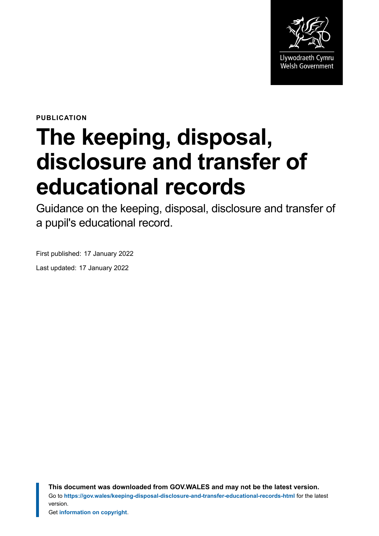

**PUBLICATION**

# **The keeping, disposal, disclosure and transfer of educational records**

Guidance on the keeping, disposal, disclosure and transfer of a pupil's educational record.

First published: 17 January 2022

Last updated: 17 January 2022

**This document was downloaded from GOV.WALES and may not be the latest version.** Go to **<https://gov.wales/keeping-disposal-disclosure-and-transfer-educational-records-html>** for the latest version.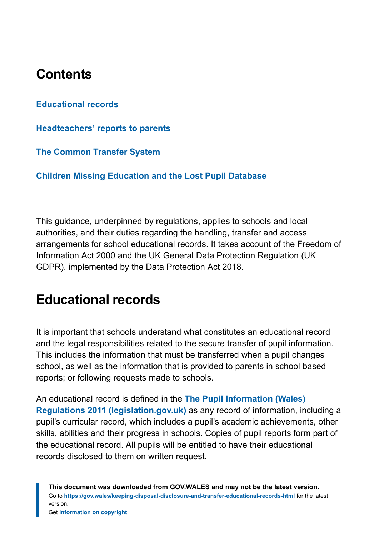## **Contents**

**[Educational records](#page-1-0)**

**[Headteachers' reports to parents](#page-4-0)**

**[The Common Transfer System](#page-6-0)**

**[Children Missing Education and the Lost Pupil Database](#page-6-1)**

This guidance, underpinned by regulations, applies to schools and local authorities, and their duties regarding the handling, transfer and access arrangements for school educational records. It takes account of the Freedom of Information Act 2000 and the UK General Data Protection Regulation (UK GDPR), implemented by the Data Protection Act 2018.

#### <span id="page-1-0"></span>**Educational records**

It is important that schools understand what constitutes an educational record and the legal responsibilities related to the secure transfer of pupil information. This includes the information that must be transferred when a pupil changes school, as well as the information that is provided to parents in school based reports; or following requests made to schools.

An educational record is defined in the **[The Pupil Information \(Wales\)](https://www.legislation.gov.uk/wsi/2011/1942/made) [Regulations 2011 \(legislation.gov.uk\)](https://www.legislation.gov.uk/wsi/2011/1942/made)** as any record of information, including a pupil's curricular record, which includes a pupil's academic achievements, other skills, abilities and their progress in schools. Copies of pupil reports form part of the educational record. All pupils will be entitled to have their educational records disclosed to them on written request.

**This document was downloaded from GOV.WALES and may not be the latest version.** Go to **<https://gov.wales/keeping-disposal-disclosure-and-transfer-educational-records-html>** for the latest version.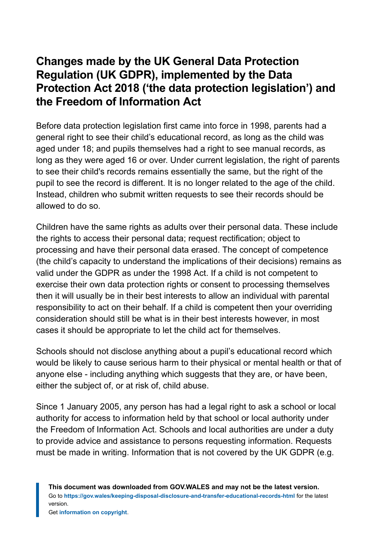#### **Changes made by the UK General Data Protection Regulation (UK GDPR), implemented by the Data Protection Act 2018 ('the data protection legislation') and the Freedom of Information Act**

Before data protection legislation first came into force in 1998, parents had a general right to see their child's educational record, as long as the child was aged under 18; and pupils themselves had a right to see manual records, as long as they were aged 16 or over. Under current legislation, the right of parents to see their child's records remains essentially the same, but the right of the pupil to see the record is different. It is no longer related to the age of the child. Instead, children who submit written requests to see their records should be allowed to do so.

Children have the same rights as adults over their personal data. These include the rights to access their personal data; request rectification; object to processing and have their personal data erased. The concept of competence (the child's capacity to understand the implications of their decisions) remains as valid under the GDPR as under the 1998 Act. If a child is not competent to exercise their own data protection rights or consent to processing themselves then it will usually be in their best interests to allow an individual with parental responsibility to act on their behalf. If a child is competent then your overriding consideration should still be what is in their best interests however, in most cases it should be appropriate to let the child act for themselves.

Schools should not disclose anything about a pupil's educational record which would be likely to cause serious harm to their physical or mental health or that of anyone else - including anything which suggests that they are, or have been, either the subject of, or at risk of, child abuse.

Since 1 January 2005, any person has had a legal right to ask a school or local authority for access to information held by that school or local authority under the Freedom of Information Act. Schools and local authorities are under a duty to provide advice and assistance to persons requesting information. Requests must be made in writing. Information that is not covered by the UK GDPR (e.g.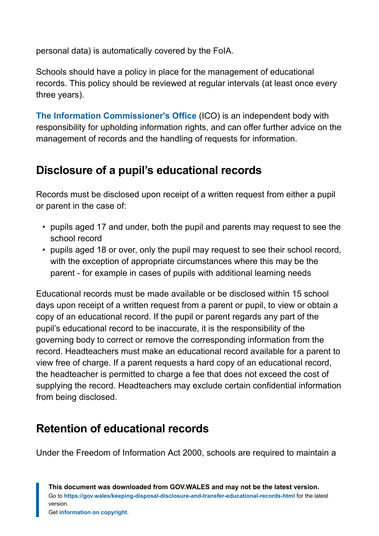personal data) is automatically covered by the FoIA.

Schools should have a policy in place for the management of educational records. This policy should be reviewed at regular intervals (at least once every three years).

**[The Information Commissioner's Office](https://ico.org.uk/)** (ICO) is an independent body with responsibility for upholding information rights, and can offer further advice on the management of records and the handling of requests for information.

#### **Disclosure of a pupil's educational records**

Records must be disclosed upon receipt of a written request from either a pupil or parent in the case of:

- pupils aged 17 and under, both the pupil and parents may request to see the school record
- pupils aged 18 or over, only the pupil may request to see their school record, with the exception of appropriate circumstances where this may be the parent - for example in cases of pupils with additional learning needs

Educational records must be made available or be disclosed within 15 school days upon receipt of a written request from a parent or pupil, to view or obtain a copy of an educational record. If the pupil or parent regards any part of the pupil's educational record to be inaccurate, it is the responsibility of the governing body to correct or remove the corresponding information from the record. Headteachers must make an educational record available for a parent to view free of charge. If a parent requests a hard copy of an educational record, the headteacher is permitted to charge a fee that does not exceed the cost of supplying the record. Headteachers may exclude certain confidential information from being disclosed.

#### **Retention of educational records**

Under the Freedom of Information Act 2000, schools are required to maintain a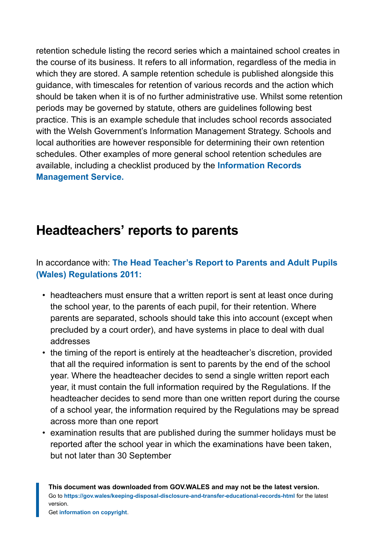retention schedule listing the record series which a maintained school creates in the course of its business. It refers to all information, regardless of the media in which they are stored. A sample retention schedule is published alongside this guidance, with timescales for retention of various records and the action which should be taken when it is of no further administrative use. Whilst some retention periods may be governed by statute, others are guidelines following best practice. This is an example schedule that includes school records associated with the Welsh Government's Information Management Strategy. Schools and local authorities are however responsible for determining their own retention schedules. Other examples of more general school retention schedules are available, including a checklist produced by the **[Information Records](https://irms.org.uk/general/custom.asp?page=SchoolsToolkit) [Management Service.](https://irms.org.uk/general/custom.asp?page=SchoolsToolkit)**

# <span id="page-4-0"></span>**Headteachers' reports to parents**

#### In accordance with: **[The Head Teacher's Report to Parents and Adult Pupils](https://www.legislation.gov.uk/wsi/2011/1943/contents/made) [\(Wales\) Regulations 2011:](https://www.legislation.gov.uk/wsi/2011/1943/contents/made)**

- headteachers must ensure that a written report is sent at least once during the school year, to the parents of each pupil, for their retention. Where parents are separated, schools should take this into account (except when precluded by a court order), and have systems in place to deal with dual addresses
- the timing of the report is entirely at the headteacher's discretion, provided that all the required information is sent to parents by the end of the school year. Where the headteacher decides to send a single written report each year, it must contain the full information required by the Regulations. If the headteacher decides to send more than one written report during the course of a school year, the information required by the Regulations may be spread across more than one report
- examination results that are published during the summer holidays must be reported after the school year in which the examinations have been taken, but not later than 30 September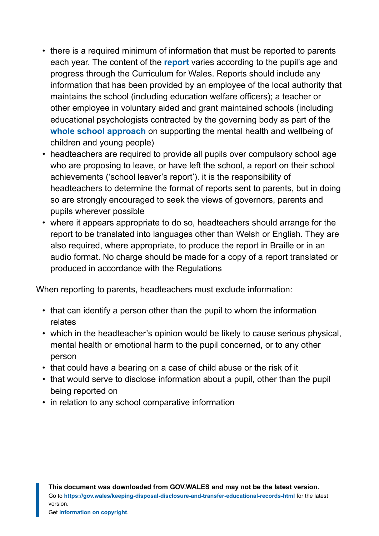- there is a required minimum of information that must be reported to parents each year. The content of the **[report](https://gov.wales/regulations-about-reporting-school-and-pupil-information-html#section-75446)** varies according to the pupil's age and progress through the Curriculum for Wales. Reports should include any information that has been provided by an employee of the local authority that maintains the school (including education welfare officers); a teacher or other employee in voluntary aided and grant maintained schools (including educational psychologists contracted by the governing body as part of the **[whole school approach](https://gov.wales/framework-embedding-whole-school-approach-emotional-and-mental-wellbeing)** on supporting the mental health and wellbeing of children and young people)
- headteachers are required to provide all pupils over compulsory school age who are proposing to leave, or have left the school, a report on their school achievements ('school leaver's report'). it is the responsibility of headteachers to determine the format of reports sent to parents, but in doing so are strongly encouraged to seek the views of governors, parents and pupils wherever possible
- where it appears appropriate to do so, headteachers should arrange for the report to be translated into languages other than Welsh or English. They are also required, where appropriate, to produce the report in Braille or in an audio format. No charge should be made for a copy of a report translated or produced in accordance with the Regulations

When reporting to parents, headteachers must exclude information:

- that can identify a person other than the pupil to whom the information relates
- which in the headteacher's opinion would be likely to cause serious physical, mental health or emotional harm to the pupil concerned, or to any other person
- that could have a bearing on a case of child abuse or the risk of it
- that would serve to disclose information about a pupil, other than the pupil being reported on
- in relation to any school comparative information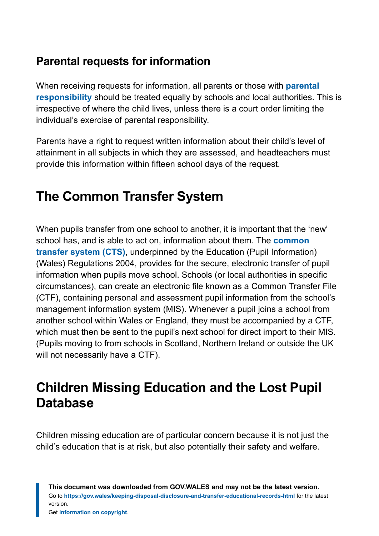#### **Parental requests for information**

When receiving requests for information, all parents or those with **[parental](https://gov.wales/parents-and-parental-responsibility-guidance-schools) [responsibility](https://gov.wales/parents-and-parental-responsibility-guidance-schools)** should be treated equally by schools and local authorities. This is irrespective of where the child lives, unless there is a court order limiting the individual's exercise of parental responsibility.

Parents have a right to request written information about their child's level of attainment in all subjects in which they are assessed, and headteachers must provide this information within fifteen school days of the request.

# <span id="page-6-0"></span>**The Common Transfer System**

When pupils transfer from one school to another, it is important that the 'new' school has, and is able to act on, information about them. The **[common](https://gov.wales/guidance-schools-implement-information-management-strategy-html#section-77088) [transfer system \(CTS\)](https://gov.wales/guidance-schools-implement-information-management-strategy-html#section-77088)**, underpinned by the Education (Pupil Information) (Wales) Regulations 2004, provides for the secure, electronic transfer of pupil information when pupils move school. Schools (or local authorities in specific circumstances), can create an electronic file known as a Common Transfer File (CTF), containing personal and assessment pupil information from the school's management information system (MIS). Whenever a pupil joins a school from another school within Wales or England, they must be accompanied by a CTF, which must then be sent to the pupil's next school for direct import to their MIS. (Pupils moving to from schools in Scotland, Northern Ireland or outside the UK will not necessarily have a CTF).

# <span id="page-6-1"></span>**Children Missing Education and the Lost Pupil Database**

Children missing education are of particular concern because it is not just the child's education that is at risk, but also potentially their safety and welfare.

**This document was downloaded from GOV.WALES and may not be the latest version.** Go to **<https://gov.wales/keeping-disposal-disclosure-and-transfer-educational-records-html>** for the latest version.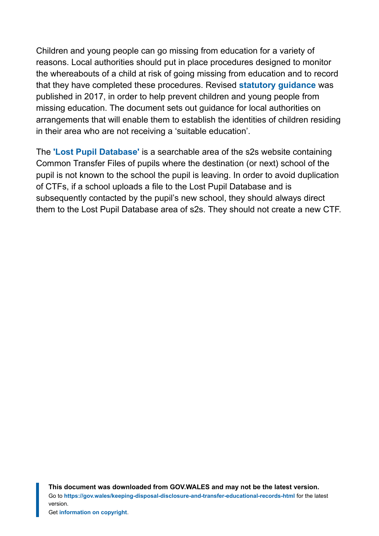Children and young people can go missing from education for a variety of reasons. Local authorities should put in place procedures designed to monitor the whereabouts of a child at risk of going missing from education and to record that they have completed these procedures. Revised **[statutory guidance](https://gov.wales/statutory-guidance-help-prevent-children-and-young-people-missing-education)** was published in 2017, in order to help prevent children and young people from missing education. The document sets out guidance for local authorities on arrangements that will enable them to establish the identities of children residing in their area who are not receiving a 'suitable education'.

The **['Lost Pupil Database'](https://gov.wales/guidance-schools-implement-information-management-strategy-html#section-77088)** is a searchable area of the s2s website containing Common Transfer Files of pupils where the destination (or next) school of the pupil is not known to the school the pupil is leaving. In order to avoid duplication of CTFs, if a school uploads a file to the Lost Pupil Database and is subsequently contacted by the pupil's new school, they should always direct them to the Lost Pupil Database area of s2s. They should not create a new CTF.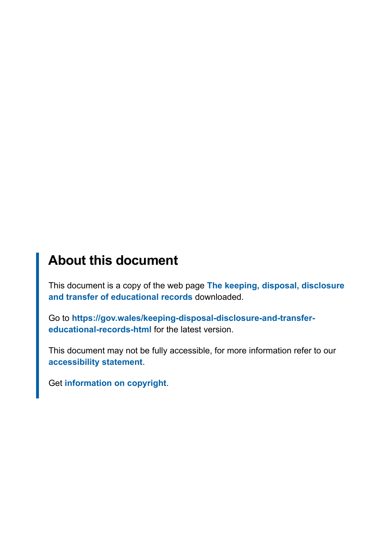# **About this document**

This document is a copy of the web page **[The keeping, disposal, disclosure](https://gov.wales/keeping-disposal-disclosure-and-transfer-educational-records-html) [and transfer of educational records](https://gov.wales/keeping-disposal-disclosure-and-transfer-educational-records-html)** downloaded.

Go to **[https://gov.wales/keeping-disposal-disclosure-and-transfer](https://gov.wales/keeping-disposal-disclosure-and-transfer-educational-records-html)[educational-records-html](https://gov.wales/keeping-disposal-disclosure-and-transfer-educational-records-html)** for the latest version.

This document may not be fully accessible, for more information refer to our **[accessibility statement](https://gov.wales/accessibility-statement-govwales)**.